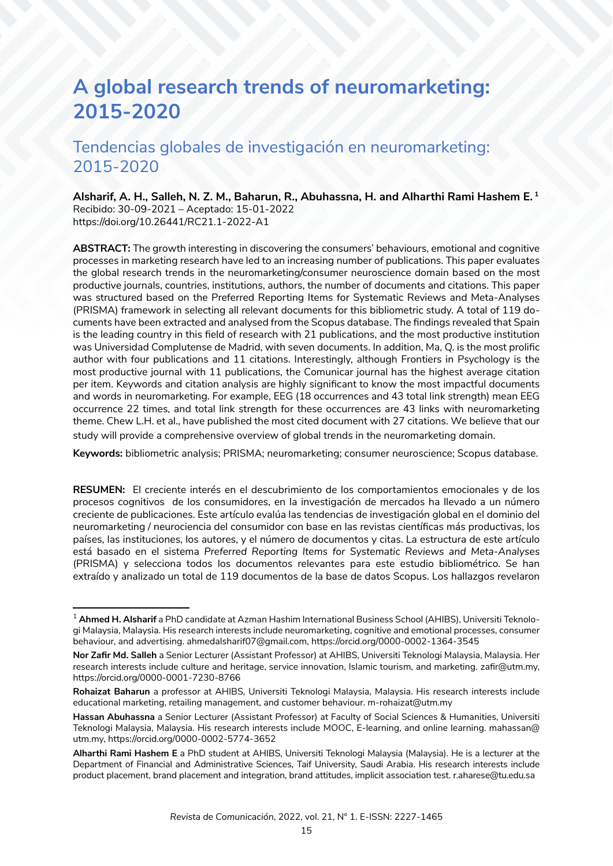# **A global research trends of neuromarketing: 2015-2020**

## Tendencias globales de investigación en neuromarketing: 2015-2020

**Alsharif, A. H., Salleh, N. Z. M., Baharun, R., Abuhassna, H. and Alharthi Rami Hashem E. 1**  Recibido: 30-09-2021 – Aceptado: 15-01-2022 https://doi.org/10.26441/RC21.1-2022-A1

**ABSTRACT:** The growth interesting in discovering the consumers' behaviours, emotional and cognitive processes in marketing research have led to an increasing number of publications. This paper evaluates the global research trends in the neuromarketing/consumer neuroscience domain based on the most productive journals, countries, institutions, authors, the number of documents and citations. This paper was structured based on the Preferred Reporting Items for Systematic Reviews and Meta-Analyses (PRISMA) framework in selecting all relevant documents for this bibliometric study. A total of 119 documents have been extracted and analysed from the Scopus database. The findings revealed that Spain is the leading country in this field of research with 21 publications, and the most productive institution was Universidad Complutense de Madrid, with seven documents. In addition, Ma, Q. is the most prolific author with four publications and 11 citations. Interestingly, although Frontiers in Psychology is the most productive journal with 11 publications, the Comunicar journal has the highest average citation per item. Keywords and citation analysis are highly significant to know the most impactful documents and words in neuromarketing. For example, EEG (18 occurrences and 43 total link strength) mean EEG occurrence 22 times, and total link strength for these occurrences are 43 links with neuromarketing theme. Chew L.H. et al., have published the most cited document with 27 citations. We believe that our study will provide a comprehensive overview of global trends in the neuromarketing domain.

**Keywords:** bibliometric analysis; PRISMA; neuromarketing; consumer neuroscience; Scopus database.

**RESUMEN:** El creciente interés en el descubrimiento de los comportamientos emocionales y de los procesos cognitivos de los consumidores, en la investigación de mercados ha llevado a un número creciente de publicaciones. Este artículo evalúa las tendencias de investigación global en el dominio del neuromarketing / neurociencia del consumidor con base en las revistas científicas más productivas, los países, las instituciones, los autores, y el número de documentos y citas. La estructura de este artículo está basado en el sistema *Preferred Reporting Items for Systematic Reviews and Meta-Analyses* (PRISMA) y selecciona todos los documentos relevantes para este estudio bibliométrico. Se han extraído y analizado un total de 119 documentos de la base de datos Scopus. Los hallazgos revelaron

<sup>1</sup> **Ahmed H. Alsharif** a PhD candidate at Azman Hashim International Business School (AHIBS), Universiti Teknologi Malaysia, Malaysia. His research interests include neuromarketing, cognitive and emotional processes, consumer behaviour, and advertising. ahmedalsharif07@gmail.com, https://orcid.org/0000-0002-1364-3545

**Nor Zafir Md. Salleh** a Senior Lecturer (Assistant Professor) at AHIBS, Universiti Teknologi Malaysia, Malaysia. Her research interests include culture and heritage, service innovation, Islamic tourism, and marketing. zafir@utm.my, https://orcid.org/0000-0001-7230-8766

**Rohaizat Baharun** a professor at AHIBS, Universiti Teknologi Malaysia, Malaysia. His research interests include educational marketing, retailing management, and customer behaviour. m-rohaizat@utm.my

**Hassan Abuhassna** a Senior Lecturer (Assistant Professor) at Faculty of Social Sciences & Humanities, Universiti Teknologi Malaysia, Malaysia. His research interests include MOOC, E-learning, and online learning. mahassan@ utm.my, https://orcid.org/0000-0002-5774-3652

**Alharthi Rami Hashem E** a PhD student at AHIBS, Universiti Teknologi Malaysia (Malaysia). He is a lecturer at the Department of Financial and Administrative Sciences, Taif University, Saudi Arabia. His research interests include product placement, brand placement and integration, brand attitudes, implicit association test. r.aharese@tu.edu.sa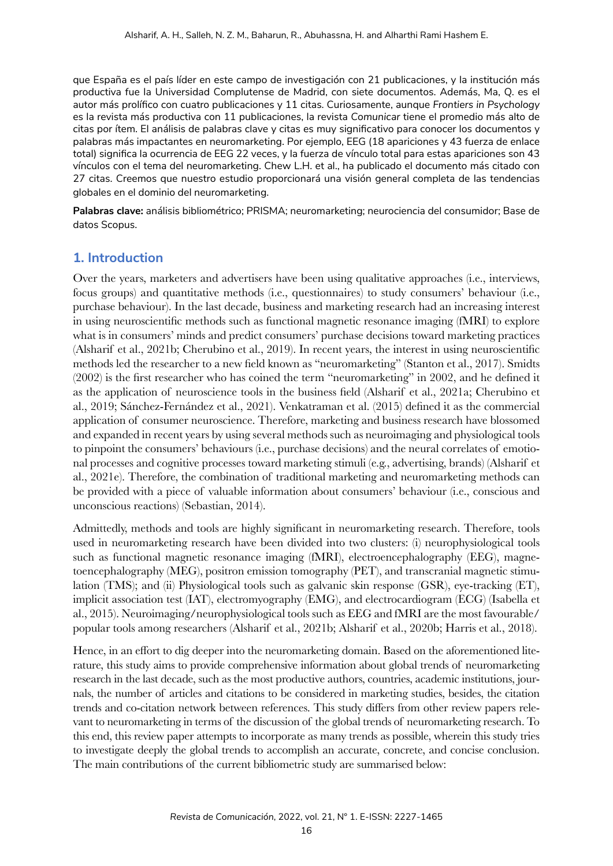que España es el país líder en este campo de investigación con 21 publicaciones, y la institución más productiva fue la Universidad Complutense de Madrid, con siete documentos. Además, Ma, Q. es el autor más prolífico con cuatro publicaciones y 11 citas. Curiosamente, aunque *Frontiers in Psychology* es la revista más productiva con 11 publicaciones, la revista *Comunicar* tiene el promedio más alto de citas por ítem. El análisis de palabras clave y citas es muy significativo para conocer los documentos y palabras más impactantes en neuromarketing. Por ejemplo, EEG (18 apariciones y 43 fuerza de enlace total) significa la ocurrencia de EEG 22 veces, y la fuerza de vínculo total para estas apariciones son 43 vínculos con el tema del neuromarketing. Chew L.H. et al., ha publicado el documento más citado con 27 citas. Creemos que nuestro estudio proporcionará una visión general completa de las tendencias globales en el dominio del neuromarketing.

**Palabras clave:** análisis bibliométrico; PRISMA; neuromarketing; neurociencia del consumidor; Base de datos Scopus.

## **1. Introduction**

Over the years, marketers and advertisers have been using qualitative approaches (i.e., interviews, focus groups) and quantitative methods (i.e., questionnaires) to study consumers' behaviour (i.e., purchase behaviour). In the last decade, business and marketing research had an increasing interest in using neuroscientific methods such as functional magnetic resonance imaging (fMRI) to explore what is in consumers' minds and predict consumers' purchase decisions toward marketing practices (Alsharif et al., 2021b; Cherubino et al., 2019). In recent years, the interest in using neuroscientific methods led the researcher to a new field known as "neuromarketing" (Stanton et al., 2017). Smidts (2002) is the first researcher who has coined the term "neuromarketing" in 2002, and he defined it as the application of neuroscience tools in the business field (Alsharif et al., 2021a; Cherubino et al., 2019; Sánchez-Fernández et al., 2021). Venkatraman et al. (2015) defined it as the commercial application of consumer neuroscience. Therefore, marketing and business research have blossomed and expanded in recent years by using several methods such as neuroimaging and physiological tools to pinpoint the consumers' behaviours (i.e., purchase decisions) and the neural correlates of emotional processes and cognitive processes toward marketing stimuli (e.g., advertising, brands) (Alsharif et al., 2021e). Therefore, the combination of traditional marketing and neuromarketing methods can be provided with a piece of valuable information about consumers' behaviour (i.e., conscious and unconscious reactions) (Sebastian, 2014).

Admittedly, methods and tools are highly significant in neuromarketing research. Therefore, tools used in neuromarketing research have been divided into two clusters: (i) neurophysiological tools such as functional magnetic resonance imaging (fMRI), electroencephalography (EEG), magnetoencephalography (MEG), positron emission tomography (PET), and transcranial magnetic stimulation (TMS); and (ii) Physiological tools such as galvanic skin response (GSR), eye-tracking (ET), implicit association test (IAT), electromyography (EMG), and electrocardiogram (ECG) (Isabella et al., 2015). Neuroimaging/neurophysiological tools such as EEG and fMRI are the most favourable/ popular tools among researchers (Alsharif et al., 2021b; Alsharif et al., 2020b; Harris et al., 2018).

Hence, in an effort to dig deeper into the neuromarketing domain. Based on the aforementioned literature, this study aims to provide comprehensive information about global trends of neuromarketing research in the last decade, such as the most productive authors, countries, academic institutions, journals, the number of articles and citations to be considered in marketing studies, besides, the citation trends and co-citation network between references. This study differs from other review papers relevant to neuromarketing in terms of the discussion of the global trends of neuromarketing research. To this end, this review paper attempts to incorporate as many trends as possible, wherein this study tries to investigate deeply the global trends to accomplish an accurate, concrete, and concise conclusion. The main contributions of the current bibliometric study are summarised below: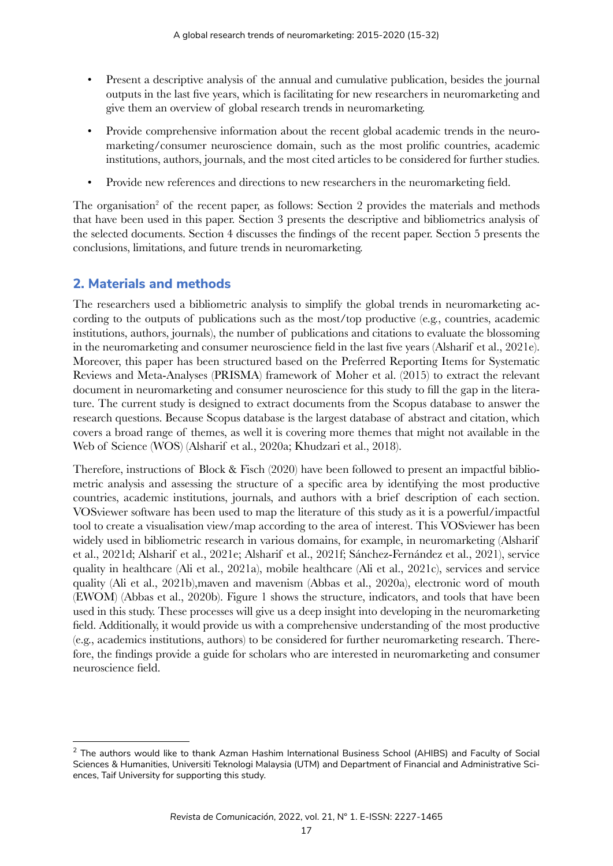- Present a descriptive analysis of the annual and cumulative publication, besides the journal outputs in the last five years, which is facilitating for new researchers in neuromarketing and give them an overview of global research trends in neuromarketing.
- Provide comprehensive information about the recent global academic trends in the neuromarketing/consumer neuroscience domain, such as the most prolific countries, academic institutions, authors, journals, and the most cited articles to be considered for further studies.
- Provide new references and directions to new researchers in the neuromarketing field.

The organisation<sup>2</sup> of the recent paper, as follows: Section 2 provides the materials and methods that have been used in this paper. Section 3 presents the descriptive and bibliometrics analysis of the selected documents. Section 4 discusses the findings of the recent paper. Section 5 presents the conclusions, limitations, and future trends in neuromarketing.

## **2. Materials and methods**

The researchers used a bibliometric analysis to simplify the global trends in neuromarketing according to the outputs of publications such as the most/top productive (e.g., countries, academic institutions, authors, journals), the number of publications and citations to evaluate the blossoming in the neuromarketing and consumer neuroscience field in the last five years (Alsharif et al., 2021e). Moreover, this paper has been structured based on the Preferred Reporting Items for Systematic Reviews and Meta-Analyses (PRISMA) framework of Moher et al. (2015) to extract the relevant document in neuromarketing and consumer neuroscience for this study to fill the gap in the literature. The current study is designed to extract documents from the Scopus database to answer the research questions. Because Scopus database is the largest database of abstract and citation, which covers a broad range of themes, as well it is covering more themes that might not available in the Web of Science (WOS) (Alsharif et al., 2020a; Khudzari et al., 2018).

Therefore, instructions of Block & Fisch (2020) have been followed to present an impactful bibliometric analysis and assessing the structure of a specific area by identifying the most productive countries, academic institutions, journals, and authors with a brief description of each section. VOSviewer software has been used to map the literature of this study as it is a powerful/impactful tool to create a visualisation view/map according to the area of interest. This VOSviewer has been widely used in bibliometric research in various domains, for example, in neuromarketing (Alsharif et al., 2021d; Alsharif et al., 2021e; Alsharif et al., 2021f; Sánchez-Fernández et al., 2021), service quality in healthcare (Ali et al., 2021a), mobile healthcare (Ali et al., 2021c), services and service quality (Ali et al., 2021b),maven and mavenism (Abbas et al., 2020a), electronic word of mouth (EWOM) (Abbas et al., 2020b). Figure 1 shows the structure, indicators, and tools that have been used in this study. These processes will give us a deep insight into developing in the neuromarketing field. Additionally, it would provide us with a comprehensive understanding of the most productive (e.g., academics institutions, authors) to be considered for further neuromarketing research. Therefore, the findings provide a guide for scholars who are interested in neuromarketing and consumer neuroscience field.

<sup>&</sup>lt;sup>2</sup> The authors would like to thank Azman Hashim International Business School (AHIBS) and Faculty of Social Sciences & Humanities, Universiti Teknologi Malaysia (UTM) and Department of Financial and Administrative Sciences, Taif University for supporting this study.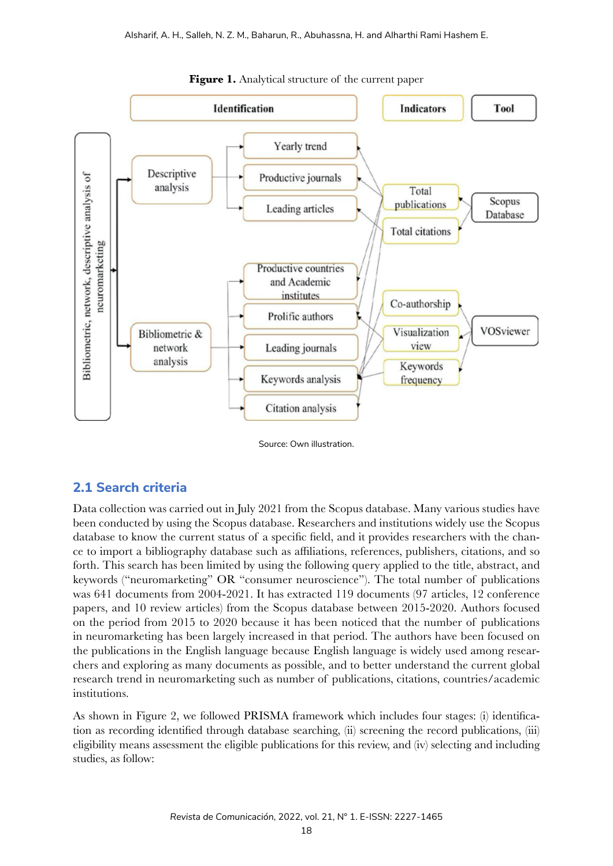

Figure 1. Analytical structure of the current paper

Source: Own illustration.

## **2.1 Search criteria**

Data collection was carried out in July 2021 from the Scopus database. Many various studies have been conducted by using the Scopus database. Researchers and institutions widely use the Scopus database to know the current status of a specific field, and it provides researchers with the chance to import a bibliography database such as affiliations, references, publishers, citations, and so forth. This search has been limited by using the following query applied to the title, abstract, and keywords ("neuromarketing" OR "consumer neuroscience"). The total number of publications was 641 documents from 2004-2021. It has extracted 119 documents (97 articles, 12 conference papers, and 10 review articles) from the Scopus database between 2015-2020. Authors focused on the period from 2015 to 2020 because it has been noticed that the number of publications in neuromarketing has been largely increased in that period. The authors have been focused on the publications in the English language because English language is widely used among researchers and exploring as many documents as possible, and to better understand the current global research trend in neuromarketing such as number of publications, citations, countries/academic institutions.

As shown in Figure 2, we followed PRISMA framework which includes four stages: (i) identification as recording identified through database searching, (ii) screening the record publications, (iii) eligibility means assessment the eligible publications for this review, and (iv) selecting and including studies, as follow: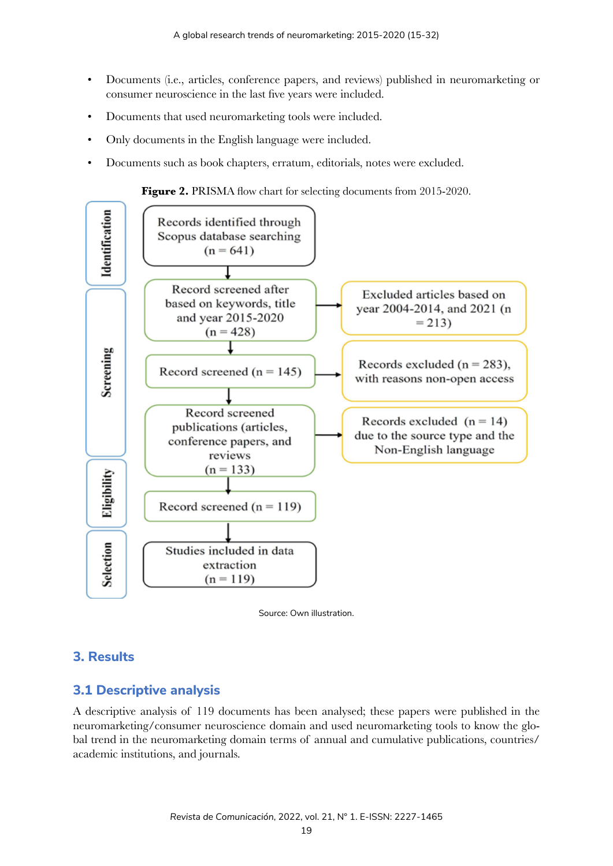- Documents (i.e., articles, conference papers, and reviews) published in neuromarketing or consumer neuroscience in the last five years were included.
- Documents that used neuromarketing tools were included.
- Only documents in the English language were included.
- Documents such as book chapters, erratum, editorials, notes were excluded.







## **3. Results**

## **3.1 Descriptive analysis**

A descriptive analysis of 119 documents has been analysed; these papers were published in the neuromarketing/consumer neuroscience domain and used neuromarketing tools to know the global trend in the neuromarketing domain terms of annual and cumulative publications, countries/ academic institutions, and journals.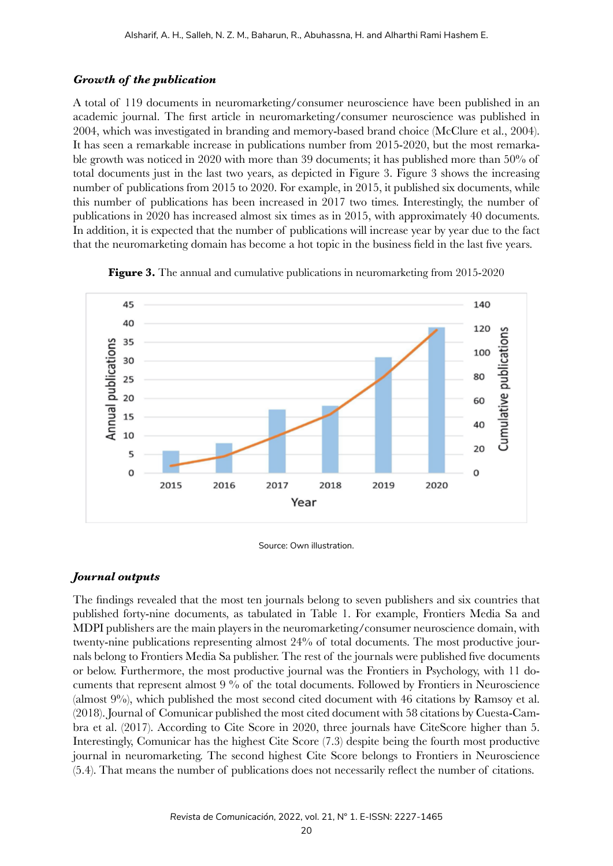#### *Growth of the publication*

A total of 119 documents in neuromarketing/consumer neuroscience have been published in an academic journal. The first article in neuromarketing/consumer neuroscience was published in 2004, which was investigated in branding and memory-based brand choice (McClure et al., 2004). It has seen a remarkable increase in publications number from 2015-2020, but the most remarkable growth was noticed in 2020 with more than 39 documents; it has published more than 50% of total documents just in the last two years, as depicted in Figure 3. Figure 3 shows the increasing number of publications from 2015 to 2020. For example, in 2015, it published six documents, while this number of publications has been increased in 2017 two times. Interestingly, the number of publications in 2020 has increased almost six times as in 2015, with approximately 40 documents. In addition, it is expected that the number of publications will increase year by year due to the fact that the neuromarketing domain has become a hot topic in the business field in the last five years.



**Figure 3.** The annual and cumulative publications in neuromarketing from 2015-2020

#### *Journal outputs*

The findings revealed that the most ten journals belong to seven publishers and six countries that published forty-nine documents, as tabulated in Table 1. For example, Frontiers Media Sa and MDPI publishers are the main players in the neuromarketing/consumer neuroscience domain, with twenty-nine publications representing almost 24% of total documents. The most productive journals belong to Frontiers Media Sa publisher. The rest of the journals were published five documents or below. Furthermore, the most productive journal was the Frontiers in Psychology, with 11 documents that represent almost 9 % of the total documents. Followed by Frontiers in Neuroscience (almost 9%), which published the most second cited document with 46 citations by Ramsoy et al. (2018). Journal of Comunicar published the most cited document with 58 citations by Cuesta-Cambra et al. (2017). According to Cite Score in 2020, three journals have CiteScore higher than 5. Interestingly, Comunicar has the highest Cite Score (7.3) despite being the fourth most productive journal in neuromarketing. The second highest Cite Score belongs to Frontiers in Neuroscience (5.4). That means the number of publications does not necessarily reflect the number of citations.

Source: Own illustration.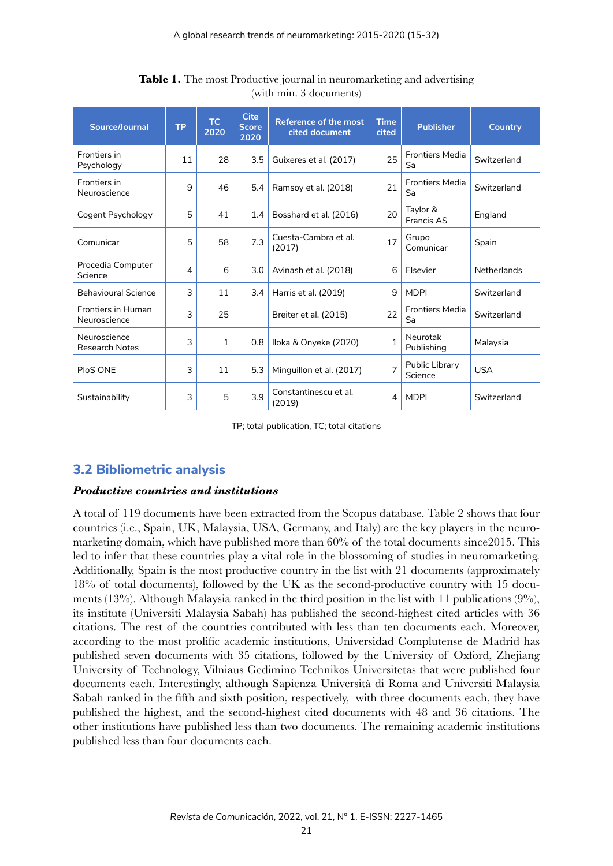| Source/Journal                        | <b>TP</b> | TC.<br>2020  | <b>Cite</b><br><b>Score</b><br>2020 | Reference of the most<br><b>Time</b><br>cited document<br>cited |                                | <b>Publisher</b>             | <b>Country</b> |  |
|---------------------------------------|-----------|--------------|-------------------------------------|-----------------------------------------------------------------|--------------------------------|------------------------------|----------------|--|
| Frontiers in<br>Psychology            | 11        | 28           | 3.5                                 | Guixeres et al. (2017)                                          | 25                             | <b>Frontiers Media</b><br>Sa | Switzerland    |  |
| Frontiers in<br>Neuroscience          | 9         | 46           | 5.4                                 | Ramsoy et al. (2018)                                            | 21                             | <b>Frontiers Media</b><br>Sa | Switzerland    |  |
| Cogent Psychology                     | 5         | 41           | 1.4                                 | Bosshard et al. (2016)                                          | Taylor &<br>20<br>Francis AS   |                              | England        |  |
| Comunicar                             | 5         | 58           | 7.3                                 | Cuesta-Cambra et al.<br>(2017)                                  | 17                             | Grupo<br>Comunicar           | Spain          |  |
| Procedia Computer<br>Science          | 4         | 6            | 3.0                                 | Avinash et al. (2018)                                           | 6                              | Elsevier                     | Netherlands    |  |
| <b>Behavioural Science</b>            | 3         | 11           | 3.4                                 | Harris et al. (2019)                                            | 9                              | <b>MDPI</b>                  | Switzerland    |  |
| Frontiers in Human<br>Neuroscience    | 3         | 25           |                                     | Breiter et al. (2015)                                           | 22                             | <b>Frontiers Media</b><br>Sa | Switzerland    |  |
| Neuroscience<br><b>Research Notes</b> | 3         | $\mathbf{1}$ | 0.8                                 | Iloka & Onyeke (2020)                                           | $\mathbf{1}$                   | Neurotak<br>Publishing       | Malaysia       |  |
| PloS ONE                              | 3         | 11           | 5.3                                 | Minguillon et al. (2017)                                        | Public Library<br>7<br>Science |                              | <b>USA</b>     |  |
| Sustainability                        | 3         | 5            | 3.9                                 | Constantinescu et al.<br>(2019)                                 | 4                              | <b>MDPI</b>                  | Switzerland    |  |

**Table 1.** The most Productive journal in neuromarketing and advertising (with min. 3 documents)

TP; total publication, TC; total citations

## **3.2 Bibliometric analysis**

#### *Productive countries and institutions*

A total of 119 documents have been extracted from the Scopus database. Table 2 shows that four countries (i.e., Spain, UK, Malaysia, USA, Germany, and Italy) are the key players in the neuromarketing domain, which have published more than 60% of the total documents since2015. This led to infer that these countries play a vital role in the blossoming of studies in neuromarketing. Additionally, Spain is the most productive country in the list with 21 documents (approximately 18% of total documents), followed by the UK as the second-productive country with 15 documents (13%). Although Malaysia ranked in the third position in the list with 11 publications (9%), its institute (Universiti Malaysia Sabah) has published the second-highest cited articles with 36 citations. The rest of the countries contributed with less than ten documents each. Moreover, according to the most prolific academic institutions, Universidad Complutense de Madrid has published seven documents with 35 citations, followed by the University of Oxford, Zhejiang University of Technology, Vilniaus Gedimino Technikos Universitetas that were published four documents each. Interestingly, although Sapienza Università di Roma and Universiti Malaysia Sabah ranked in the fifth and sixth position, respectively, with three documents each, they have published the highest, and the second-highest cited documents with 48 and 36 citations. The other institutions have published less than two documents. The remaining academic institutions published less than four documents each.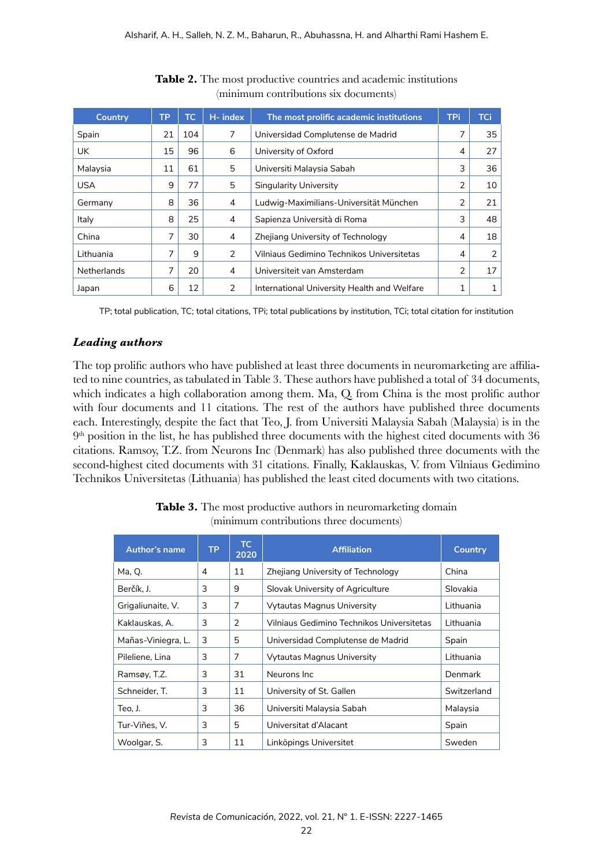| <b>Country</b>     | <b>TP</b> | TC. | H- index | The most prolific academic institutions     | <b>TPi</b> | <b>TCi</b> |
|--------------------|-----------|-----|----------|---------------------------------------------|------------|------------|
| Spain              | 21        | 104 | 7        | Universidad Complutense de Madrid           | 7          | 35         |
| UK.                | 15        | 96  | 6        | University of Oxford                        | 4          | 27         |
| Malaysia           | 11        | 61  | 5        | Universiti Malaysia Sabah                   | 3          | 36         |
| <b>USA</b>         | 9         | 77  | 5        | Singularity University                      | 2          | 10         |
| Germany            | 8         | 36  | 4        | Ludwig-Maximilians-Universität München      | 2          | 21         |
| Italy              | 8         | 25  | 4        | Sapienza Università di Roma                 | 3          | 48         |
| China              | 7         | 30  | 4        | Zhejiang University of Technology           | 4          | 18         |
| Lithuania          | 7         | 9   | 2        | Vilniaus Gedimino Technikos Universitetas   | 4          | 2          |
| <b>Netherlands</b> | 7         | 20  | 4        | Universiteit van Amsterdam                  | 2          | 17         |
| Japan              | 6         | 12  | 2        | International University Health and Welfare |            |            |

#### **Table 2.** The most productive countries and academic institutions (minimum contributions six documents)

TP; total publication, TC; total citations, TPi; total publications by institution, TCi; total citation for institution

#### *Leading authors*

The top prolific authors who have published at least three documents in neuromarketing are affiliated to nine countries, as tabulated in Table 3. These authors have published a total of 34 documents, which indicates a high collaboration among them. Ma, Q from China is the most prolific author with four documents and 11 citations. The rest of the authors have published three documents each. Interestingly, despite the fact that Teo, J. from Universiti Malaysia Sabah (Malaysia) is in the 9<sup>th</sup> position in the list, he has published three documents with the highest cited documents with 36 citations. Ramsoy, T.Z. from Neurons Inc (Denmark) has also published three documents with the second-highest cited documents with 31 citations. Finally, Kaklauskas, V. from Vilniaus Gedimino Technikos Universitetas (Lithuania) has published the least cited documents with two citations.

| Author's name      | <b>TP</b> | TC.<br>2020 | <b>Affiliation</b>                        | <b>Country</b> |
|--------------------|-----------|-------------|-------------------------------------------|----------------|
| Ma, Q.             | 4         | 11          | Zhejiang University of Technology         | China          |
| Berčík, J.         | 3         | 9           | Slovak University of Agriculture          | Slovakia       |
| Grigaliunaite, V.  | 3         | 7           | Vytautas Magnus University                | Lithuania      |
| Kaklauskas, A.     | 3         | 2           | Vilniaus Gedimino Technikos Universitetas | Lithuania      |
| Mañas-Viniegra, L. | 3         | 5           | Universidad Complutense de Madrid         | Spain          |
| Pileliene, Lina    | 3         | 7           | <b>Vytautas Magnus University</b>         | Lithuania      |
| Ramsøy, T.Z.       | 3         | 31          | Neurons Inc.                              | Denmark        |
| Schneider, T.      | 3         | 11          | University of St. Gallen                  | Switzerland    |
| Teo, J.            | 3         | 36          | Universiti Malaysia Sabah                 | Malaysia       |
| Tur-Viñes, V.      | 3         | 5           | Universitat d'Alacant                     | Spain          |
| Woolgar, S.        | 3         | 11          | Linköpings Universitet                    | Sweden         |

**Table 3.** The most productive authors in neuromarketing domain (minimum contributions three documents)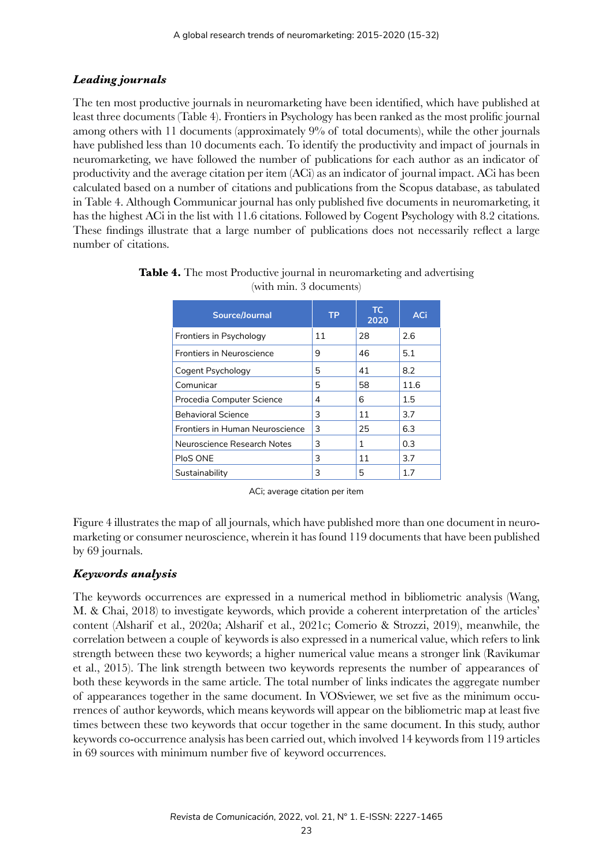## *Leading journals*

The ten most productive journals in neuromarketing have been identified, which have published at least three documents (Table 4). Frontiers in Psychology has been ranked as the most prolific journal among others with 11 documents (approximately 9% of total documents), while the other journals have published less than 10 documents each. To identify the productivity and impact of journals in neuromarketing, we have followed the number of publications for each author as an indicator of productivity and the average citation per item (ACi) as an indicator of journal impact. ACi has been calculated based on a number of citations and publications from the Scopus database, as tabulated in Table 4. Although Communicar journal has only published five documents in neuromarketing, it has the highest ACi in the list with 11.6 citations. Followed by Cogent Psychology with 8.2 citations. These findings illustrate that a large number of publications does not necessarily reflect a large number of citations.

| Source/Journal                  | <b>TP</b> | TC.<br>2020 | ACi  |
|---------------------------------|-----------|-------------|------|
| Frontiers in Psychology         | 11        | 28          | 2.6  |
| Frontiers in Neuroscience       | 9         | 46          | 5.1  |
| Cogent Psychology               | 5         | 41          | 8.2  |
| Comunicar                       | 5         | 58          | 11.6 |
| Procedia Computer Science       | 4         | 6           | 1.5  |
| <b>Behavioral Science</b>       | 3         | 11          | 3.7  |
| Frontiers in Human Neuroscience | 3         | 25          | 6.3  |
| Neuroscience Research Notes     | 3         | 1           | 0.3  |
| PloS ONE                        | 3         | 11          | 3.7  |
| Sustainability                  | 3         | 5           | 17   |

| Table 4. The most Productive journal in neuromarketing and advertising |  |
|------------------------------------------------------------------------|--|
| (with min. 3 documents)                                                |  |

ACi; average citation per item

Figure 4 illustrates the map of all journals, which have published more than one document in neuromarketing or consumer neuroscience, wherein it has found 119 documents that have been published by 69 journals.

## *Keywords analysis*

The keywords occurrences are expressed in a numerical method in bibliometric analysis (Wang, M. & Chai, 2018) to investigate keywords, which provide a coherent interpretation of the articles' content (Alsharif et al., 2020a; Alsharif et al., 2021c; Comerio & Strozzi, 2019), meanwhile, the correlation between a couple of keywords is also expressed in a numerical value, which refers to link strength between these two keywords; a higher numerical value means a stronger link (Ravikumar et al., 2015). The link strength between two keywords represents the number of appearances of both these keywords in the same article. The total number of links indicates the aggregate number of appearances together in the same document. In VOSviewer, we set five as the minimum occurrences of author keywords, which means keywords will appear on the bibliometric map at least five times between these two keywords that occur together in the same document. In this study, author keywords co-occurrence analysis has been carried out, which involved 14 keywords from 119 articles in 69 sources with minimum number five of keyword occurrences.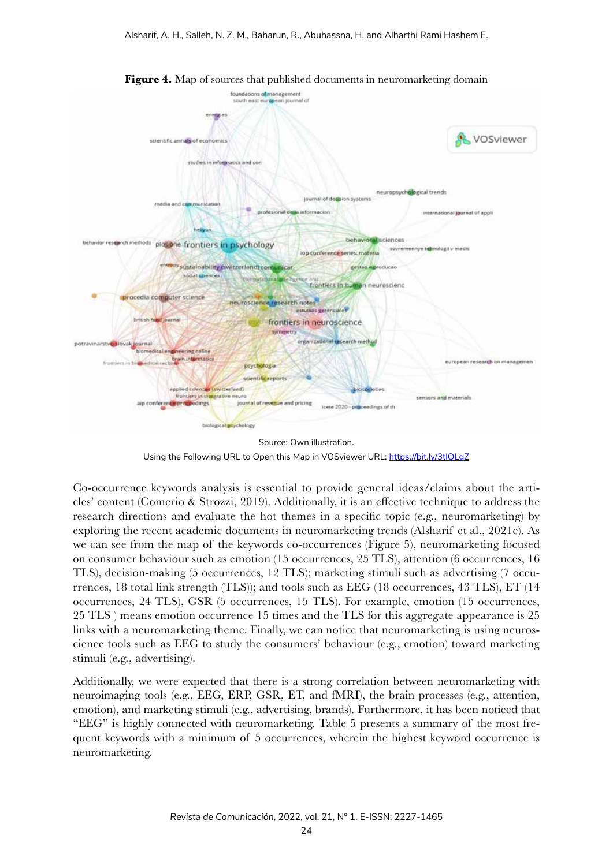

**Figure 4.** Map of sources that published documents in neuromarketing domain

Source: Own illustration. Using the Following URL to Open this Map in VOSviewer URL: https://bit.ly/3tlQLgZ

Co-occurrence keywords analysis is essential to provide general ideas/claims about the articles' content (Comerio & Strozzi, 2019). Additionally, it is an effective technique to address the research directions and evaluate the hot themes in a specific topic (e.g., neuromarketing) by exploring the recent academic documents in neuromarketing trends (Alsharif et al., 2021e). As we can see from the map of the keywords co-occurrences (Figure 5), neuromarketing focused on consumer behaviour such as emotion (15 occurrences, 25 TLS), attention (6 occurrences, 16 TLS), decision-making (5 occurrences, 12 TLS); marketing stimuli such as advertising (7 occurrences, 18 total link strength (TLS)); and tools such as EEG (18 occurrences, 43 TLS), ET (14 occurrences, 24 TLS), GSR (5 occurrences, 15 TLS). For example, emotion (15 occurrences, 25 TLS ) means emotion occurrence 15 times and the TLS for this aggregate appearance is 25 links with a neuromarketing theme. Finally, we can notice that neuromarketing is using neuroscience tools such as EEG to study the consumers' behaviour (e.g., emotion) toward marketing stimuli (e.g., advertising).

Additionally, we were expected that there is a strong correlation between neuromarketing with neuroimaging tools (e.g., EEG, ERP, GSR, ET, and fMRI), the brain processes (e.g., attention, emotion), and marketing stimuli (e.g., advertising, brands). Furthermore, it has been noticed that "EEG" is highly connected with neuromarketing. Table 5 presents a summary of the most frequent keywords with a minimum of 5 occurrences, wherein the highest keyword occurrence is neuromarketing.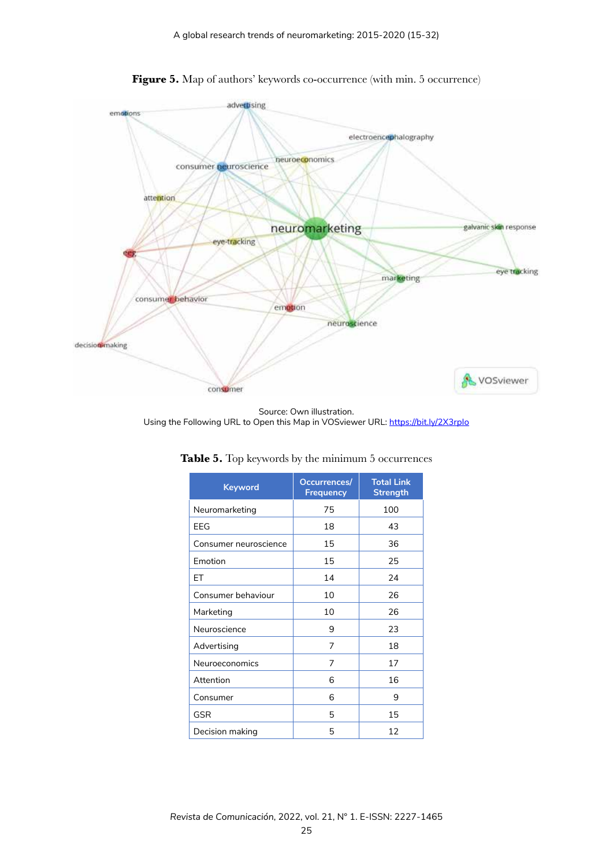

Figure 5. Map of authors' keywords co-occurrence (with min. 5 occurrence)

Source: Own illustration. Using the Following URL to Open this Map in VOSviewer URL: https://bit.ly/2X3rplo

| Occurrences/<br><b>Frequency</b> | <b>Total Link</b><br><b>Strength</b> |  |  |
|----------------------------------|--------------------------------------|--|--|
| 75                               | 100                                  |  |  |
| 18                               | 43                                   |  |  |
| 15                               | 36                                   |  |  |
| 15                               | 25                                   |  |  |
| 14                               | 24                                   |  |  |
| 10                               | 26                                   |  |  |
| 10                               | 26                                   |  |  |
| 9                                | 23                                   |  |  |
| 7                                | 18                                   |  |  |
| 7                                | 17                                   |  |  |
| 6                                | 16                                   |  |  |
| 6                                | 9                                    |  |  |
| 5                                | 15                                   |  |  |
| 5                                | 12                                   |  |  |
|                                  |                                      |  |  |

**Table 5.** Top keywords by the minimum 5 occurrences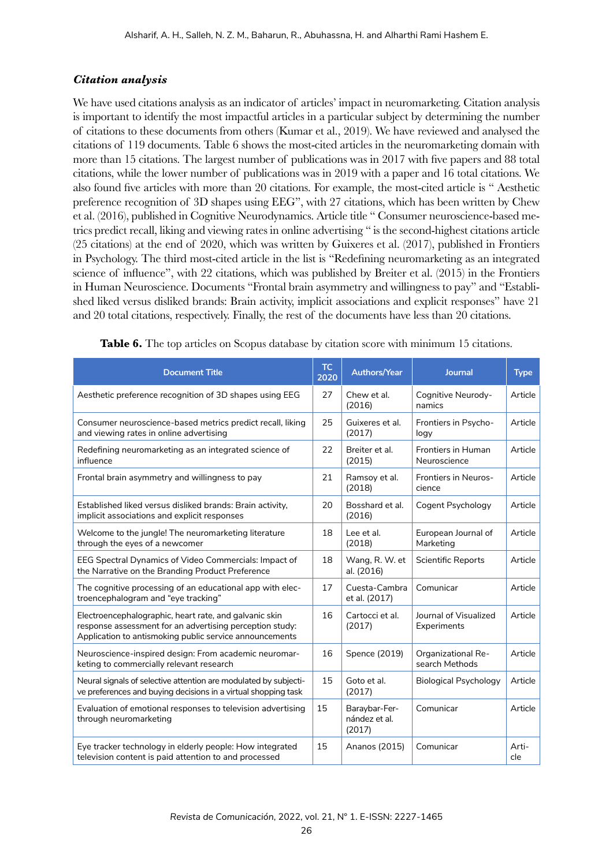#### *Citation analysis*

We have used citations analysis as an indicator of articles' impact in neuromarketing. Citation analysis is important to identify the most impactful articles in a particular subject by determining the number of citations to these documents from others (Kumar et al., 2019). We have reviewed and analysed the citations of 119 documents. Table 6 shows the most-cited articles in the neuromarketing domain with more than 15 citations. The largest number of publications was in 2017 with five papers and 88 total citations, while the lower number of publications was in 2019 with a paper and 16 total citations. We also found five articles with more than 20 citations. For example, the most-cited article is " Aesthetic preference recognition of 3D shapes using EEG", with 27 citations, which has been written by Chew et al. (2016), published in Cognitive Neurodynamics. Article title " Consumer neuroscience-based metrics predict recall, liking and viewing rates in online advertising " is the second-highest citations article (25 citations) at the end of 2020, which was written by Guixeres et al. (2017), published in Frontiers in Psychology. The third most-cited article in the list is "Redefining neuromarketing as an integrated science of influence", with 22 citations, which was published by Breiter et al. (2015) in the Frontiers in Human Neuroscience. Documents "Frontal brain asymmetry and willingness to pay" and "Established liked versus disliked brands: Brain activity, implicit associations and explicit responses" have 21 and 20 total citations, respectively. Finally, the rest of the documents have less than 20 citations.

| <b>Document Title</b>                                                                                                                                                         | <b>TC</b><br>2020 | <b>Authors/Year</b>                      | <b>Journal</b>                              | <b>Type</b>  |
|-------------------------------------------------------------------------------------------------------------------------------------------------------------------------------|-------------------|------------------------------------------|---------------------------------------------|--------------|
| Aesthetic preference recognition of 3D shapes using EEG                                                                                                                       | 27                | Chew et al.<br>(2016)                    | Cognitive Neurody-<br>namics                | Article      |
| Consumer neuroscience-based metrics predict recall, liking<br>and viewing rates in online advertising                                                                         | 25                | Guixeres et al.<br>(2017)                | Frontiers in Psycho-<br>logy                | Article      |
| Redefining neuromarketing as an integrated science of<br>influence                                                                                                            | 22                | Breiter et al.<br>(2015)                 | Frontiers in Human<br>Neuroscience          | Article      |
| Frontal brain asymmetry and willingness to pay                                                                                                                                | 21                | Ramsoy et al.<br>(2018)                  | Frontiers in Neuros-<br>cience              | Article      |
| Established liked versus disliked brands: Brain activity,<br>implicit associations and explicit responses                                                                     | 20                | Bosshard et al.<br>(2016)                | Cogent Psychology                           | Article      |
| Welcome to the jungle! The neuromarketing literature<br>through the eyes of a newcomer                                                                                        | 18                | Lee et al.<br>(2018)                     | European Journal of<br>Marketing            | Article      |
| <b>EEG Spectral Dynamics of Video Commercials: Impact of</b><br>the Narrative on the Branding Product Preference                                                              | 18                | Wang, R. W. et<br>al. (2016)             | <b>Scientific Reports</b>                   | Article      |
| The cognitive processing of an educational app with elec-<br>troencephalogram and "eye tracking"                                                                              | 17                | Cuesta-Cambra<br>et al. (2017)           | Comunicar                                   | Article      |
| Electroencephalographic, heart rate, and galvanic skin<br>response assessment for an advertising perception study:<br>Application to antismoking public service announcements | 16                | Cartocci et al.<br>(2017)                | Journal of Visualized<br>Experiments        | Article      |
| Neuroscience-inspired design: From academic neuromar-<br>keting to commercially relevant research                                                                             | 16                | Spence (2019)                            | <b>Organizational Re-</b><br>search Methods | Article      |
| Neural signals of selective attention are modulated by subjecti-<br>ve preferences and buying decisions in a virtual shopping task                                            | 15                | Goto et al.<br>(2017)                    | <b>Biological Psychology</b>                | Article      |
| Evaluation of emotional responses to television advertising<br>through neuromarketing                                                                                         | 15                | Baraybar-Fer-<br>nández et al.<br>(2017) | Comunicar                                   | Article      |
| Eye tracker technology in elderly people: How integrated<br>television content is paid attention to and processed                                                             | 15                | Ananos (2015)                            | Comunicar                                   | Arti-<br>cle |

**Table 6.** The top articles on Scopus database by citation score with minimum 15 citations.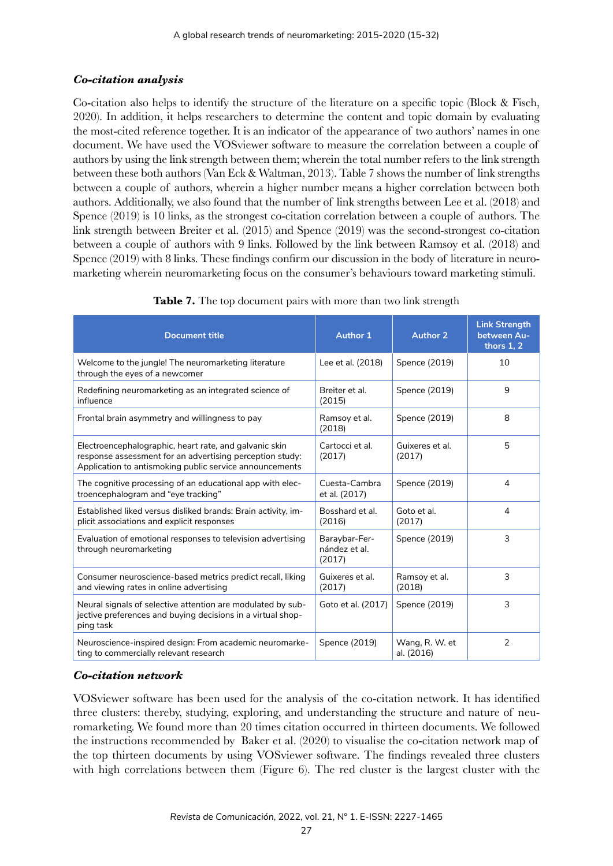## *Co-citation analysis*

Co-citation also helps to identify the structure of the literature on a specific topic (Block & Fisch, 2020). In addition, it helps researchers to determine the content and topic domain by evaluating the most-cited reference together. It is an indicator of the appearance of two authors' names in one document. We have used the VOSviewer software to measure the correlation between a couple of authors by using the link strength between them; wherein the total number refers to the link strength between these both authors (Van Eck & Waltman, 2013). Table 7 shows the number of link strengths between a couple of authors, wherein a higher number means a higher correlation between both authors. Additionally, we also found that the number of link strengths between Lee et al. (2018) and Spence (2019) is 10 links, as the strongest co-citation correlation between a couple of authors. The link strength between Breiter et al. (2015) and Spence (2019) was the second-strongest co-citation between a couple of authors with 9 links. Followed by the link between Ramsoy et al. (2018) and Spence (2019) with 8 links. These findings confirm our discussion in the body of literature in neuromarketing wherein neuromarketing focus on the consumer's behaviours toward marketing stimuli.

| <b>Document title</b>                                                                                                                                                         | <b>Author 1</b>                          | <b>Author 2</b>              | <b>Link Strength</b><br>between Au-<br>thors $1, 2$ |
|-------------------------------------------------------------------------------------------------------------------------------------------------------------------------------|------------------------------------------|------------------------------|-----------------------------------------------------|
| Welcome to the jungle! The neuromarketing literature<br>through the eyes of a newcomer                                                                                        | Lee et al. (2018)                        | Spence (2019)                | 10                                                  |
| Redefining neuromarketing as an integrated science of<br>influence                                                                                                            | Breiter et al.<br>(2015)                 | Spence (2019)                | 9                                                   |
| Frontal brain asymmetry and willingness to pay                                                                                                                                | Ramsoy et al.<br>(2018)                  | Spence (2019)                | 8                                                   |
| Electroencephalographic, heart rate, and galvanic skin<br>response assessment for an advertising perception study:<br>Application to antismoking public service announcements | Cartocci et al.<br>(2017)                | Guixeres et al.<br>(2017)    | 5                                                   |
| The cognitive processing of an educational app with elec-<br>troencephalogram and "eye tracking"                                                                              | Cuesta-Cambra<br>et al. (2017)           | Spence (2019)                | 4                                                   |
| Established liked versus disliked brands: Brain activity, im-<br>plicit associations and explicit responses                                                                   | Bosshard et al.<br>(2016)                | Goto et al.<br>(2017)        | 4                                                   |
| Evaluation of emotional responses to television advertising<br>through neuromarketing                                                                                         | Baraybar-Fer-<br>nández et al.<br>(2017) | Spence (2019)                | 3                                                   |
| Consumer neuroscience-based metrics predict recall, liking<br>and viewing rates in online advertising                                                                         | Guixeres et al.<br>(2017)                | Ramsoy et al.<br>(2018)      | 3                                                   |
| Neural signals of selective attention are modulated by sub-<br>jective preferences and buying decisions in a virtual shop-<br>ping task                                       | Goto et al. (2017)                       | Spence (2019)                | 3                                                   |
| Neuroscience-inspired design: From academic neuromarke-<br>ting to commercially relevant research                                                                             | Spence (2019)                            | Wang, R. W. et<br>al. (2016) | $\overline{2}$                                      |

|  |  | Table 7. The top document pairs with more than two link strength |  |  |  |  |  |  |  |
|--|--|------------------------------------------------------------------|--|--|--|--|--|--|--|
|--|--|------------------------------------------------------------------|--|--|--|--|--|--|--|

## *Co-citation network*

VOSviewer software has been used for the analysis of the co-citation network. It has identified three clusters: thereby, studying, exploring, and understanding the structure and nature of neuromarketing. We found more than 20 times citation occurred in thirteen documents. We followed the instructions recommended by Baker et al. (2020) to visualise the co-citation network map of the top thirteen documents by using VOSviewer software. The findings revealed three clusters with high correlations between them (Figure 6). The red cluster is the largest cluster with the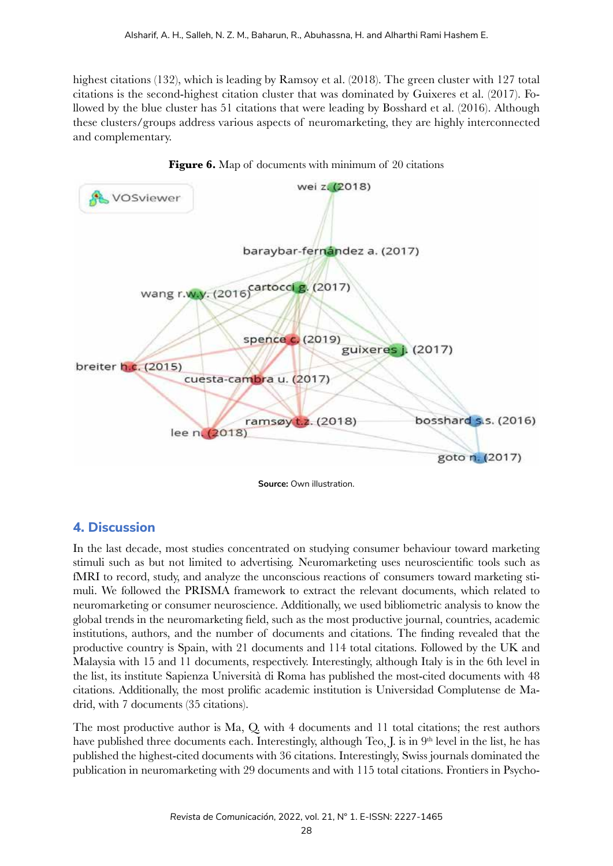highest citations (132), which is leading by Ramsoy et al. (2018). The green cluster with 127 total citations is the second-highest citation cluster that was dominated by Guixeres et al. (2017). Followed by the blue cluster has 51 citations that were leading by Bosshard et al. (2016). Although these clusters/groups address various aspects of neuromarketing, they are highly interconnected and complementary.





## **4. Discussion**

In the last decade, most studies concentrated on studying consumer behaviour toward marketing stimuli such as but not limited to advertising. Neuromarketing uses neuroscientific tools such as fMRI to record, study, and analyze the unconscious reactions of consumers toward marketing stimuli. We followed the PRISMA framework to extract the relevant documents, which related to neuromarketing or consumer neuroscience. Additionally, we used bibliometric analysis to know the global trends in the neuromarketing field, such as the most productive journal, countries, academic institutions, authors, and the number of documents and citations. The finding revealed that the productive country is Spain, with 21 documents and 114 total citations. Followed by the UK and Malaysia with 15 and 11 documents, respectively. Interestingly, although Italy is in the 6th level in the list, its institute Sapienza Università di Roma has published the most-cited documents with 48 citations. Additionally, the most prolific academic institution is Universidad Complutense de Madrid, with 7 documents (35 citations).

The most productive author is Ma, Q. with 4 documents and 11 total citations; the rest authors have published three documents each. Interestingly, although Teo, J. is in  $9<sup>th</sup>$  level in the list, he has published the highest-cited documents with 36 citations. Interestingly, Swiss journals dominated the publication in neuromarketing with 29 documents and with 115 total citations. Frontiers in Psycho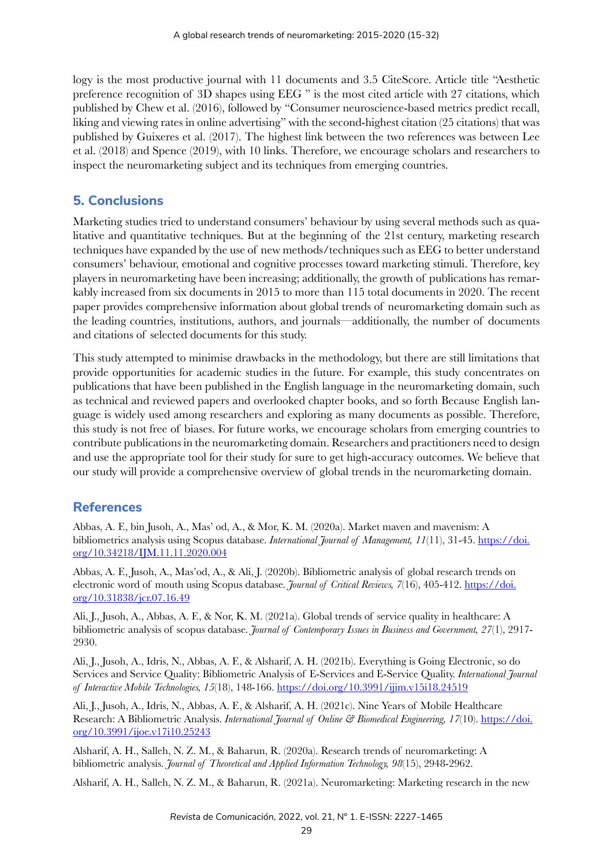logy is the most productive journal with 11 documents and 3.5 CiteScore. Article title "Aesthetic preference recognition of 3D shapes using EEG " is the most cited article with 27 citations, which published by Chew et al. (2016), followed by "Consumer neuroscience-based metrics predict recall, liking and viewing rates in online advertising" with the second-highest citation (25 citations) that was published by Guixeres et al. (2017). The highest link between the two references was between Lee et al. (2018) and Spence (2019), with 10 links. Therefore, we encourage scholars and researchers to inspect the neuromarketing subject and its techniques from emerging countries.

## **5. Conclusions**

Marketing studies tried to understand consumers' behaviour by using several methods such as qualitative and quantitative techniques. But at the beginning of the 21st century, marketing research techniques have expanded by the use of new methods/techniques such as EEG to better understand consumers' behaviour, emotional and cognitive processes toward marketing stimuli. Therefore, key players in neuromarketing have been increasing; additionally, the growth of publications has remarkably increased from six documents in 2015 to more than 115 total documents in 2020. The recent paper provides comprehensive information about global trends of neuromarketing domain such as the leading countries, institutions, authors, and journals—additionally, the number of documents and citations of selected documents for this study.

This study attempted to minimise drawbacks in the methodology, but there are still limitations that provide opportunities for academic studies in the future. For example, this study concentrates on publications that have been published in the English language in the neuromarketing domain, such as technical and reviewed papers and overlooked chapter books, and so forth Because English language is widely used among researchers and exploring as many documents as possible. Therefore, this study is not free of biases. For future works, we encourage scholars from emerging countries to contribute publications in the neuromarketing domain. Researchers and practitioners need to design and use the appropriate tool for their study for sure to get high-accuracy outcomes. We believe that our study will provide a comprehensive overview of global trends in the neuromarketing domain.

## **References**

Abbas, A. F., bin Jusoh, A., Mas' od, A., & Mor, K. M. (2020a). Market maven and mavenism: A bibliometrics analysis using Scopus database. *International Journal of Management, 11*(11), 31-45. https://doi. org/10.34218/IJM.11.11.2020.004

Abbas, A. F., Jusoh, A., Mas'od, A., & Ali, J. (2020b). Bibliometric analysis of global research trends on electronic word of mouth using Scopus database. *Journal of Critical Reviews, 7*(16), 405-412. https://doi. org/10.31838/jcr.07.16.49

Ali, J., Jusoh, A., Abbas, A. F., & Nor, K. M. (2021a). Global trends of service quality in healthcare: A bibliometric analysis of scopus database. *Journal of Contemporary Issues in Business and Government, 27*(1), 2917- 2930.

Ali, J., Jusoh, A., Idris, N., Abbas, A. F., & Alsharif, A. H. (2021b). Everything is Going Electronic, so do Services and Service Quality: Bibliometric Analysis of E-Services and E-Service Quality. *International Journal of Interactive Mobile Technologies, 15*(18), 148-166. https://doi.org/10.3991/ijim.v15i18.24519

Ali, J., Jusoh, A., Idris, N., Abbas, A. F., & Alsharif, A. H. (2021c). Nine Years of Mobile Healthcare Research: A Bibliometric Analysis. *International Journal of Online & Biomedical Engineering, 17*(10). https://doi. org/10.3991/ijoe.v17i10.25243

Alsharif, A. H., Salleh, N. Z. M., & Baharun, R. (2020a). Research trends of neuromarketing: A bibliometric analysis. *Journal of Theoretical and Applied Information Technology, 98*(15), 2948-2962.

Alsharif, A. H., Salleh, N. Z. M., & Baharun, R. (2021a). Neuromarketing: Marketing research in the new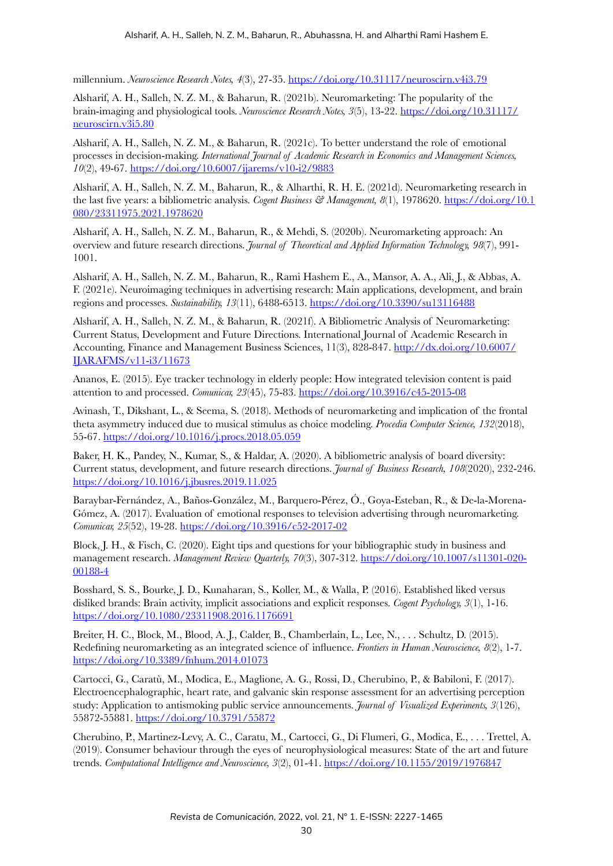millennium. *Neuroscience Research Notes, 4*(3), 27-35. https://doi.org/10.31117/neuroscirn.v4i3.79

Alsharif, A. H., Salleh, N. Z. M., & Baharun, R. (2021b). Neuromarketing: The popularity of the brain-imaging and physiological tools. *Neuroscience Research Notes, 3*(5), 13-22. https://doi.org/10.31117/ neuroscirn.v3i5.80

Alsharif, A. H., Salleh, N. Z. M., & Baharun, R. (2021c). To better understand the role of emotional processes in decision-making. *International Journal of Academic Research in Economics and Management Sciences, 10*(2), 49-67. https://doi.org/10.6007/ijarems/v10-i2/9883

Alsharif, A. H., Salleh, N. Z. M., Baharun, R., & Alharthi, R. H. E. (2021d). Neuromarketing research in the last five years: a bibliometric analysis. *Cogent Business* & Management, 8(1), 1978620. https://doi.org/10.1 080/23311975.2021.1978620

Alsharif, A. H., Salleh, N. Z. M., Baharun, R., & Mehdi, S. (2020b). Neuromarketing approach: An overview and future research directions. *Journal of Theoretical and Applied Information Technology, 98*(7), 991- 1001.

Alsharif, A. H., Salleh, N. Z. M., Baharun, R., Rami Hashem E., A., Mansor, A. A., Ali, J., & Abbas, A. F. (2021e). Neuroimaging techniques in advertising research: Main applications, development, and brain regions and processes. *Sustainability, 13*(11), 6488-6513. https://doi.org/10.3390/su13116488

Alsharif, A. H., Salleh, N. Z. M., & Baharun, R. (2021f). A Bibliometric Analysis of Neuromarketing: Current Status, Development and Future Directions. International Journal of Academic Research in Accounting, Finance and Management Business Sciences, 11(3), 828-847. http://dx.doi.org/10.6007/ IJARAFMS/v11-i3/11673

Ananos, E. (2015). Eye tracker technology in elderly people: How integrated television content is paid attention to and processed. *Comunicar, 23*(45), 75-83. https://doi.org/10.3916/c45-2015-08

Avinash, T., Dikshant, L., & Seema, S. (2018). Methods of neuromarketing and implication of the frontal theta asymmetry induced due to musical stimulus as choice modeling. *Procedia Computer Science, 132*(2018), 55-67. https://doi.org/10.1016/j.procs.2018.05.059

Baker, H. K., Pandey, N., Kumar, S., & Haldar, A. (2020). A bibliometric analysis of board diversity: Current status, development, and future research directions. *Journal of Business Research, 108*(2020), 232-246. https://doi.org/10.1016/j.jbusres.2019.11.025

Baraybar-Fernández, A., Baños-González, M., Barquero-Pérez, Ó., Goya-Esteban, R., & De-la-Morena-Gómez, A. (2017). Evaluation of emotional responses to television advertising through neuromarketing. *Comunicar, 25*(52), 19-28. https://doi.org/10.3916/c52-2017-02

Block, J. H., & Fisch, C. (2020). Eight tips and questions for your bibliographic study in business and management research. *Management Review Quarterly, 70*(3), 307-312. https://doi.org/10.1007/s11301-020- 00188-4

Bosshard, S. S., Bourke, J. D., Kunaharan, S., Koller, M., & Walla, P. (2016). Established liked versus disliked brands: Brain activity, implicit associations and explicit responses. *Cogent Psychology, 3*(1), 1-16. https://doi.org/10.1080/23311908.2016.1176691

Breiter, H. C., Block, M., Blood, A. J., Calder, B., Chamberlain, L., Lee, N., . . . Schultz, D. (2015). Redefining neuromarketing as an integrated science of influence. *Frontiers in Human Neuroscience, 8*(2), 1-7. https://doi.org/10.3389/fnhum.2014.01073

Cartocci, G., Caratù, M., Modica, E., Maglione, A. G., Rossi, D., Cherubino, P., & Babiloni, F. (2017). Electroencephalographic, heart rate, and galvanic skin response assessment for an advertising perception study: Application to antismoking public service announcements. *Journal of Visualized Experiments, 3*(126), 55872-55881. https://doi.org/10.3791/55872

Cherubino, P., Martinez-Levy, A. C., Caratu, M., Cartocci, G., Di Flumeri, G., Modica, E., . . . Trettel, A. (2019). Consumer behaviour through the eyes of neurophysiological measures: State of the art and future trends. *Computational Intelligence and Neuroscience, 3*(2), 01-41. https://doi.org/10.1155/2019/1976847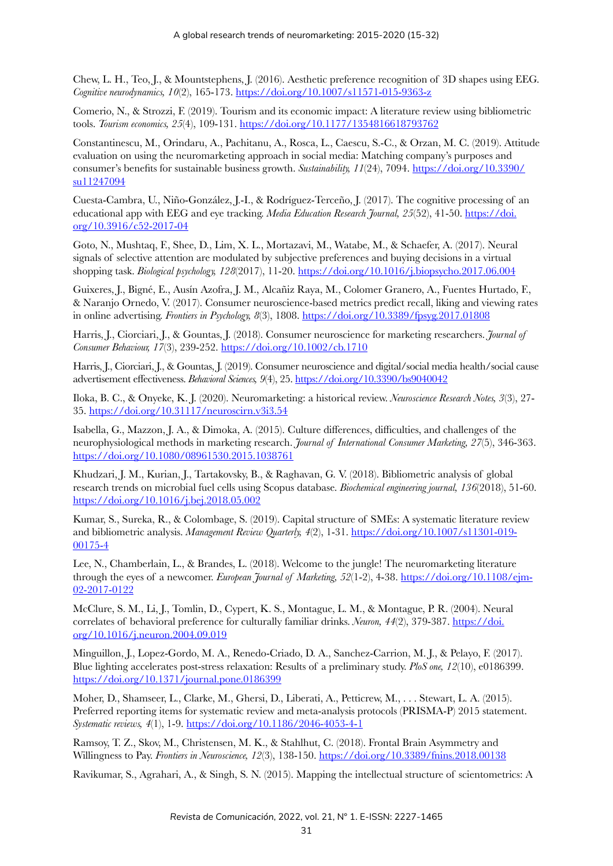Chew, L. H., Teo, J., & Mountstephens, J. (2016). Aesthetic preference recognition of 3D shapes using EEG. *Cognitive neurodynamics, 10*(2), 165-173. https://doi.org/10.1007/s11571-015-9363-z

Comerio, N., & Strozzi, F. (2019). Tourism and its economic impact: A literature review using bibliometric tools. *Tourism economics, 25*(4), 109-131. https://doi.org/10.1177/1354816618793762

Constantinescu, M., Orindaru, A., Pachitanu, A., Rosca, L., Caescu, S.-C., & Orzan, M. C. (2019). Attitude evaluation on using the neuromarketing approach in social media: Matching company's purposes and consumer's benefits for sustainable business growth. *Sustainability, 11*(24), 7094. https://doi.org/10.3390/ su11247094

Cuesta-Cambra, U., Niño-González, J.-I., & Rodríguez-Terceño, J. (2017). The cognitive processing of an educational app with EEG and eye tracking. *Media Education Research Journal, 25*(52), 41-50. https://doi. org/10.3916/c52-2017-04

Goto, N., Mushtaq, F., Shee, D., Lim, X. L., Mortazavi, M., Watabe, M., & Schaefer, A. (2017). Neural signals of selective attention are modulated by subjective preferences and buying decisions in a virtual shopping task. *Biological psychology, 128*(2017), 11-20. https://doi.org/10.1016/j.biopsycho.2017.06.004

Guixeres, J., Bigné, E., Ausín Azofra, J. M., Alcañiz Raya, M., Colomer Granero, A., Fuentes Hurtado, F., & Naranjo Ornedo, V. (2017). Consumer neuroscience-based metrics predict recall, liking and viewing rates in online advertising. *Frontiers in Psychology, 8*(3), 1808. https://doi.org/10.3389/fpsyg.2017.01808

Harris, J., Ciorciari, J., & Gountas, J. (2018). Consumer neuroscience for marketing researchers. *Journal of Consumer Behaviour, 17*(3), 239-252. https://doi.org/10.1002/cb.1710

Harris, J., Ciorciari, J., & Gountas, J. (2019). Consumer neuroscience and digital/social media health/social cause advertisement effectiveness. *Behavioral Sciences, 9*(4), 25. https://doi.org/10.3390/bs9040042

Iloka, B. C., & Onyeke, K. J. (2020). Neuromarketing: a historical review. *Neuroscience Research Notes, 3*(3), 27- 35. https://doi.org/10.31117/neuroscirn.v3i3.54

Isabella, G., Mazzon, J. A., & Dimoka, A. (2015). Culture differences, difficulties, and challenges of the neurophysiological methods in marketing research. *Journal of International Consumer Marketing, 27*(5), 346-363. https://doi.org/10.1080/08961530.2015.1038761

Khudzari, J. M., Kurian, J., Tartakovsky, B., & Raghavan, G. V. (2018). Bibliometric analysis of global research trends on microbial fuel cells using Scopus database. *Biochemical engineering journal, 136*(2018), 51-60. https://doi.org/10.1016/j.bej.2018.05.002

Kumar, S., Sureka, R., & Colombage, S. (2019). Capital structure of SMEs: A systematic literature review and bibliometric analysis. *Management Review Quarterly, 4*(2), 1-31. https://doi.org/10.1007/s11301-019- 00175-4

Lee, N., Chamberlain, L., & Brandes, L. (2018). Welcome to the jungle! The neuromarketing literature through the eyes of a newcomer. *European Journal of Marketing, 52*(1-2), 4-38. https://doi.org/10.1108/ejm-02-2017-0122

McClure, S. M., Li, J., Tomlin, D., Cypert, K. S., Montague, L. M., & Montague, P. R. (2004). Neural correlates of behavioral preference for culturally familiar drinks. *Neuron*, 44(2), 379-387. https://doi. org/10.1016/j.neuron.2004.09.019

Minguillon, J., Lopez-Gordo, M. A., Renedo-Criado, D. A., Sanchez-Carrion, M. J., & Pelayo, F. (2017). Blue lighting accelerates post-stress relaxation: Results of a preliminary study. *PloS one, 12*(10), e0186399. https://doi.org/10.1371/journal.pone.0186399

Moher, D., Shamseer, L., Clarke, M., Ghersi, D., Liberati, A., Petticrew, M., . . . Stewart, L. A. (2015). Preferred reporting items for systematic review and meta-analysis protocols (PRISMA-P) 2015 statement. *Systematic reviews, 4*(1), 1-9. https://doi.org/10.1186/2046-4053-4-1

Ramsoy, T. Z., Skov, M., Christensen, M. K., & Stahlhut, C. (2018). Frontal Brain Asymmetry and Willingness to Pay. *Frontiers in Neuroscience, 12*(3), 138-150. https://doi.org/10.3389/fnins.2018.00138

Ravikumar, S., Agrahari, A., & Singh, S. N. (2015). Mapping the intellectual structure of scientometrics: A